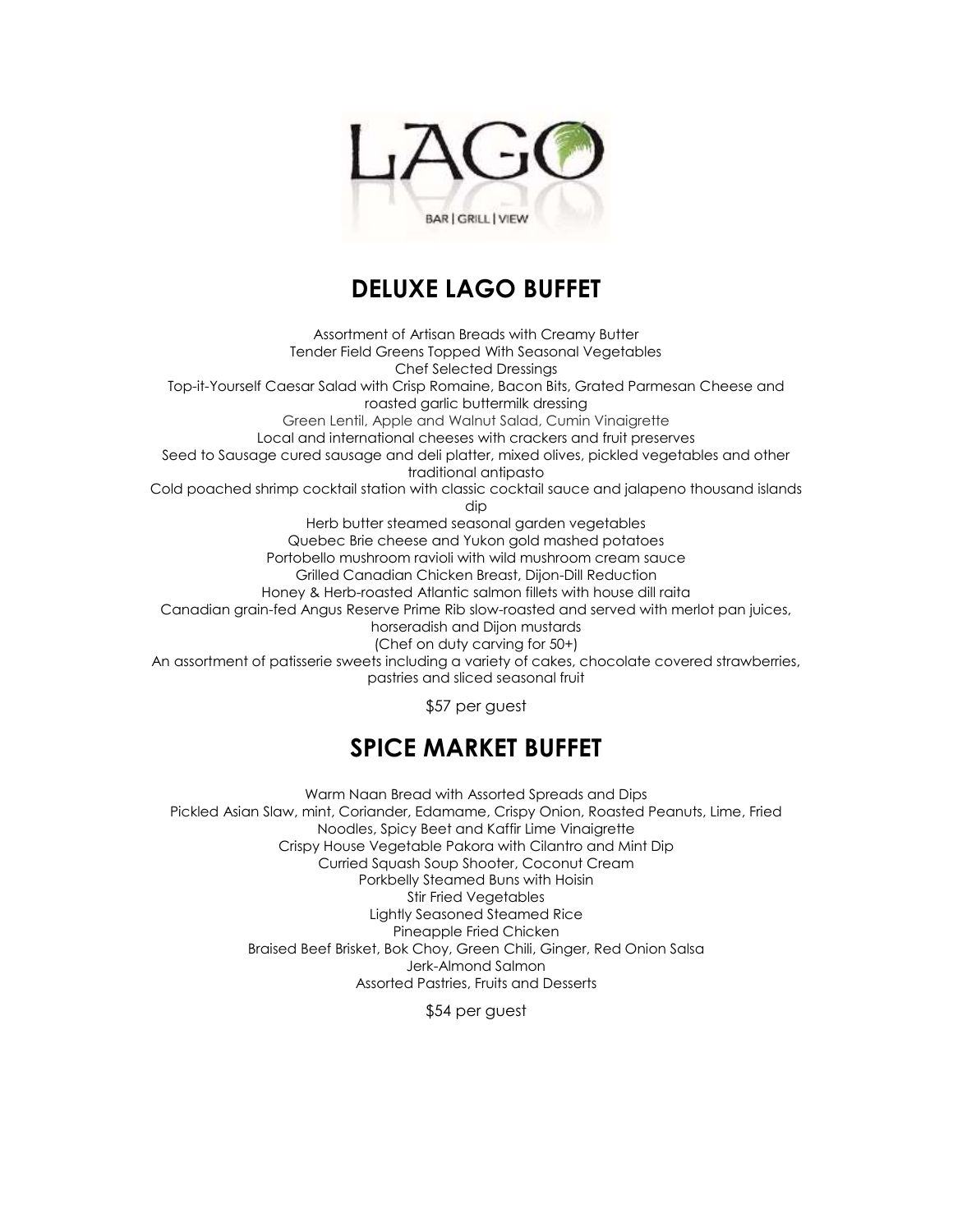

## **DELUXE LAGO BUFFET**

Assortment of Artisan Breads with Creamy Butter Tender Field Greens Topped With Seasonal Vegetables Chef Selected Dressings Top-it-Yourself Caesar Salad with Crisp Romaine, Bacon Bits, Grated Parmesan Cheese and roasted garlic buttermilk dressing Green Lentil, Apple and Walnut Salad, Cumin Vinaigrette Local and international cheeses with crackers and fruit preserves Seed to Sausage cured sausage and deli platter, mixed olives, pickled vegetables and other traditional antipasto Cold poached shrimp cocktail station with classic cocktail sauce and jalapeno thousand islands dip Herb butter steamed seasonal garden vegetables Quebec Brie cheese and Yukon gold mashed potatoes Portobello mushroom ravioli with wild mushroom cream sauce Grilled Canadian Chicken Breast, Dijon-Dill Reduction Honey & Herb-roasted Atlantic salmon fillets with house dill raita Canadian grain-fed Angus Reserve Prime Rib slow-roasted and served with merlot pan juices, horseradish and Dijon mustards (Chef on duty carving for 50+) An assortment of patisserie sweets including a variety of cakes, chocolate covered strawberries, pastries and sliced seasonal fruit

\$57 per guest

## **SPICE MARKET BUFFET**

Warm Naan Bread with Assorted Spreads and Dips Pickled Asian Slaw, mint, Coriander, Edamame, Crispy Onion, Roasted Peanuts, Lime, Fried Noodles, Spicy Beet and Kaffir Lime Vinaigrette Crispy House Vegetable Pakora with Cilantro and Mint Dip Curried Squash Soup Shooter, Coconut Cream Porkbelly Steamed Buns with Hoisin Stir Fried Vegetables Lightly Seasoned Steamed Rice Pineapple Fried Chicken Braised Beef Brisket, Bok Choy, Green Chili, Ginger, Red Onion Salsa Jerk-Almond Salmon Assorted Pastries, Fruits and Desserts

\$54 per guest